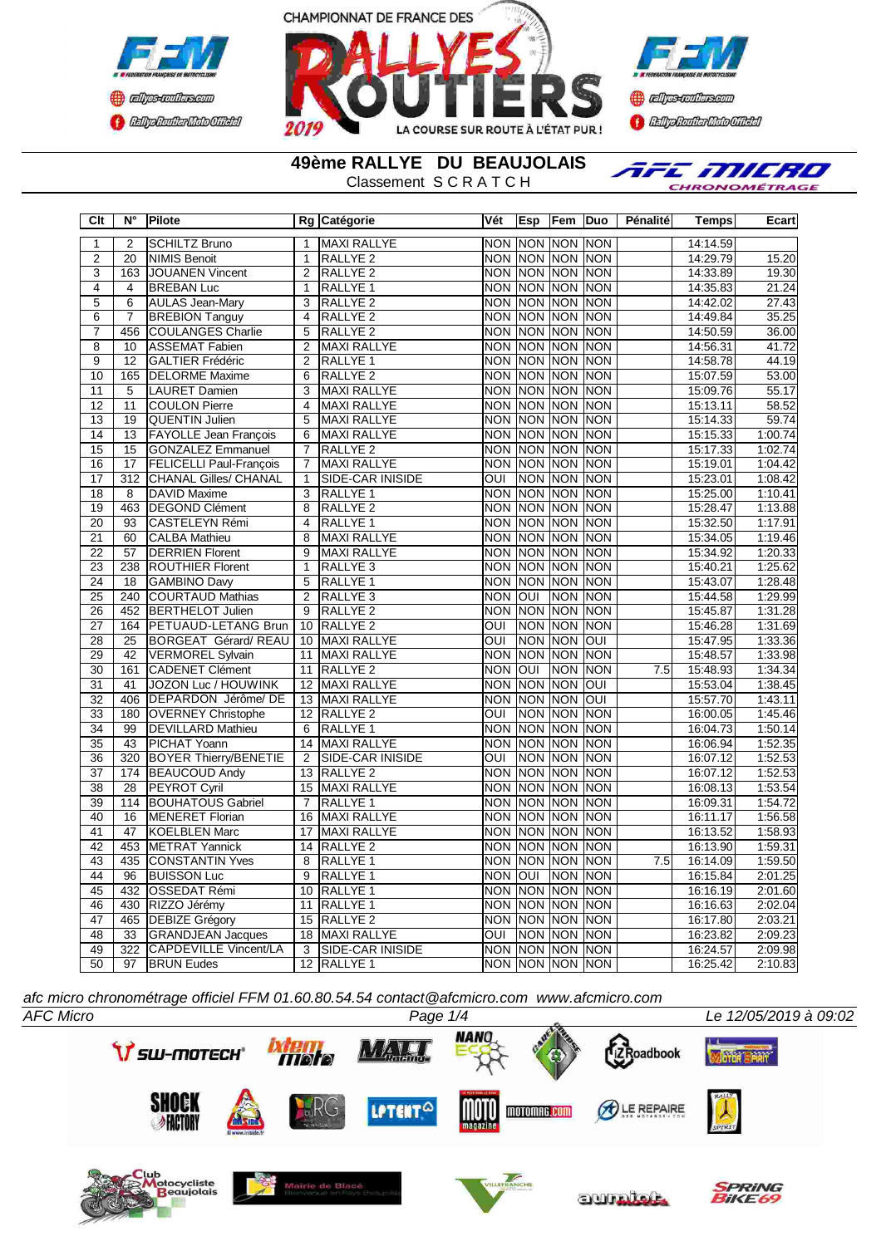



**Confederation Complementation** 

**49ème RALLYE DU BEAUJOLAIS**

Classement S C R A T C H

AFE MILRO CHRONOMÉTRAGE

| Clt             | N°                     | <b>Pilote</b>                  |                         | Rg Catégorie                          | Vét                                 | Esp            | Fem Duo               |                          | Pénalité         | <b>Temps</b> | Ecart              |
|-----------------|------------------------|--------------------------------|-------------------------|---------------------------------------|-------------------------------------|----------------|-----------------------|--------------------------|------------------|--------------|--------------------|
| 1               | $\overline{2}$         | <b>SCHILTZ Bruno</b>           | 1                       | <b>MAXI RALLYE</b>                    |                                     |                | NON NON NON NON       |                          |                  | 14:14.59     |                    |
| $\overline{2}$  | 20                     | <b>NIMIS Benoit</b>            | $\mathbf{1}$            | RALLYE <sub>2</sub>                   |                                     |                | NON NON NON NON       |                          |                  | 14:29.79     | 15.20              |
| 3               | 163                    | <b>JOUANEN Vincent</b>         | $\overline{2}$          | RALLYE <sub>2</sub>                   |                                     |                | NON NON NON NON       |                          |                  | 14:33.89     | 19.30              |
| $\overline{4}$  | 4                      | <b>BREBAN Luc</b>              | $\overline{1}$          | RALLYE <sub>1</sub>                   |                                     |                | NON NON NON NON       |                          |                  | 14:35.83     | 21.24              |
| 5               | 6                      | <b>AULAS Jean-Mary</b>         | 3                       | RALLYE <sub>2</sub>                   | <b>NON</b>                          | <b>NON</b>     | <b>NON</b>            | <b>NON</b>               |                  | 14:42.02     | 27.43              |
| $\overline{6}$  | $\overline{7}$         | <b>BREBION Tanguy</b>          | $\overline{4}$          | <b>RALLYE 2</b>                       | <b>NON</b>                          | <b>NON</b>     | <b>NON</b>            | <b>NON</b>               |                  | 14:49.84     | 35.25              |
| $\overline{7}$  | 456                    | <b>COULANGES Charlie</b>       | 5                       | RALLYE <sub>2</sub>                   | <b>NON</b>                          |                | NON NON               | <b>NON</b>               |                  | 14:50.59     | 36.00              |
| $\overline{8}$  | 10                     | <b>ASSEMAT Fabien</b>          | $\overline{2}$          | <b>MAXI RALLYE</b>                    | <b>NON</b>                          | <b>NON</b>     | NON NON               |                          |                  | 14:56.31     | 41.72              |
| $\overline{9}$  | $\overline{12}$        | <b>GALTIER Frédéric</b>        | $\overline{2}$          | RALLYE <sub>1</sub>                   | <b>NON</b>                          |                | NON INON INON         |                          |                  | 14:58.78     | 44.19              |
| 10              | 165                    | <b>DELORME Maxime</b>          | $\overline{6}$          | RALLYE <sub>2</sub>                   |                                     |                | NON NON NON NON       |                          |                  | 15:07.59     | 53.00              |
| 11              | 5                      | <b>LAURET Damien</b>           | $\overline{3}$          | <b>MAXI RALLYE</b>                    | <b>NON</b>                          | <b>NON</b>     | <b>NON</b>            | <b>NON</b>               |                  | 15:09.76     | 55.17              |
| 12              | 11                     | <b>COULON Pierre</b>           | $\overline{\mathbf{4}}$ | <b>MAXI RALLYE</b>                    |                                     |                | NON NON NON NON       |                          |                  | 15:13.11     | 58.52              |
| 13              | 19                     | <b>QUENTIN Julien</b>          | 5                       | <b>MAXI RALLYE</b>                    | <b>NON</b>                          | <b>NON</b>     | <b>NON</b>            | <b>NON</b>               |                  | 15:14.33     | 59.74              |
| 14              | 13                     | <b>FAYOLLE Jean François</b>   | 6                       | <b>MAXI RALLYE</b>                    |                                     |                | NON INON INON INON    |                          |                  | 15:15.33     | 1:00.74            |
| 15              | 15                     | <b>GONZALEZ Emmanuel</b>       | $\overline{7}$          | RALLYE <sub>2</sub>                   | <b>NON</b>                          | <b>NON</b>     | <b>NON</b>            | <b>NON</b>               |                  | 15:17.33     | 1:02.74            |
| 16              | $\overline{17}$        | <b>FELICELLI Paul-Francois</b> | $\overline{7}$          | <b>MAXI RALLYE</b>                    |                                     | NON NON        | <b>NON</b>            | <b>INON</b>              |                  | 15:19.01     | 1:04.42            |
| 17              | $\overline{312}$       | <b>CHANAL Gilles/ CHANAL</b>   | $\mathbf{1}$            | SIDE-CAR INISIDE                      | OUI                                 |                | NON NON NON           |                          |                  | 15:23.01     | 1:08.42            |
| $\overline{18}$ | 8                      | DAVID Maxime                   | 3                       | RALLYE 1                              | <b>NON</b>                          | <b>NON</b>     | <b>NON NON</b>        |                          |                  | 15:25.00     | 1:10.41            |
| $\overline{19}$ | 463                    | <b>DEGOND Clément</b>          | 8                       | <b>RALLYE 2</b>                       |                                     |                | NON NON NON NON       |                          |                  | 15:28.47     | 1:13.88            |
| $\overline{20}$ | $\overline{93}$        | <b>CASTELEYN Rémi</b>          | 4                       | RALLYE <sub>1</sub>                   | <b>NON</b>                          |                | NON NON NON           |                          |                  | 15:32.50     | 1:17.91            |
| 21              | 60                     | <b>CALBA Mathieu</b>           | 8                       | <b>MAXI RALLYE</b>                    |                                     |                | NON NON NON NON       |                          |                  | 15:34.05     | 1:19.46            |
| $\overline{22}$ | $\overline{57}$        | <b>DERRIEN Florent</b>         | 9                       | <b>MAXI RALLYE</b>                    | <b>NON</b>                          |                | NON NON               | <b>NON</b>               |                  | 15:34.92     | 1:20.33            |
| 23              | 238                    | <b>ROUTHIER Florent</b>        | 1                       | RALLYE <sub>3</sub>                   |                                     |                | NON NON NON NON       |                          |                  | 15:40.21     | 1:25.62            |
| $\overline{24}$ | 18                     | <b>GAMBINO Davy</b>            | 5                       | RALLYE <sub>1</sub>                   | <b>NON</b>                          |                | NON NON NON           |                          |                  | 15:43.07     | 1:28.48            |
| 25              | 240                    | <b>COURTAUD Mathias</b>        | $\overline{2}$          | RALLYE <sub>3</sub>                   | <b>NON</b>                          | <b>OUI</b>     | <b>NON</b>            | <b>NON</b>               |                  | 15:44.58     | 1:29.99            |
| 26              | 452                    | <b>BERTHELOT Julien</b>        | $\overline{9}$          | RALLYE <sub>2</sub>                   |                                     | NON NON        | <b>NON</b>            | <b>INON</b>              |                  | 15:45.87     | 1:31.28            |
| 27              | 164                    | <b>PETUAUD-LETANG Brun</b>     | 10                      | RALLYE <sub>2</sub>                   | OUI                                 |                | NON NON               | <b>NON</b>               |                  | 15:46.28     | 1:31.69            |
| 28              | $\overline{25}$        | <b>BORGEAT Gérard/REAU</b>     | 10                      | <b>MAXI RALLYE</b>                    | ОUІ                                 |                | Non Inon Ioui         |                          |                  | 15:47.95     | 1:33.36            |
| 29              | $\overline{42}$        | <b>VERMOREL Sylvain</b>        | 11                      | <b>MAXI RALLYE</b>                    | <b>NON</b>                          |                | <b>NON NON</b>        | <b>INON</b>              |                  | 15:48.57     | 1:33.98            |
| $\overline{30}$ | 161                    | <b>CADENET Clément</b>         | 11                      | <b>RALLYE 2</b>                       | <b>NON</b>                          | loui           | NON NON               |                          | $\overline{7.5}$ | 15:48.93     | 1:34.34            |
| $\overline{31}$ | 41                     | <b>JOZON Luc / HOUWINK</b>     | 12                      | <b>MAXI RALLYE</b>                    | <b>NON</b>                          | <b>NON</b>     | <b>NON</b>            | loui                     |                  | 15:53.04     | 1:38.45            |
| $\overline{32}$ | 406                    | DEPARDON Jérôme/ DE            | 13                      | <b>MAXI RALLYE</b>                    |                                     |                | NON NON NON           | loui                     |                  | 15:57.70     | 1:43.11            |
| $\overline{33}$ | 180                    | <b>OVERNEY Christophe</b>      |                         | 12 RALLYE 2                           | $\overline{\text{OUI}}$             |                | <b>NON NON</b>        | <b>NON</b>               |                  | 16:00.05     | 1:45.46            |
| 34              | 99                     | <b>DEVILLARD Mathieu</b>       | 6                       | RALLYE 1                              |                                     |                | NON INON INON INON    |                          |                  | 16:04.73     | 1:50.14            |
| 35              | 43                     | PICHAT Yoann                   | 14                      | <b>MAXI RALLYE</b>                    | <b>NON</b>                          | <b>NON</b>     | <b>NON</b>            | <b>NON</b>               |                  | 16:06.94     | 1:52.35            |
| 36              | $\overline{320}$       | <b>BOYER Thierry/BENETIE</b>   | $\overline{2}$          | SIDE-CAR INISIDE                      | ОUІ                                 | <b>NON</b>     | <b>NON</b>            | <b>INON</b>              |                  | 16:07.12     | 1:52.53            |
| 37              | 174                    | <b>BEAUCOUD Andy</b>           | 13                      | <b>RALLYE 2</b>                       |                                     |                | NON NON NON           | <b>NON</b>               |                  | 16:07.12     | 1:52.53            |
| 38              | $\overline{28}$        | PEYROT Cyril                   | 15                      | <b>MAXI RALLYE</b>                    | <b>NON</b>                          |                | NON NON               | <b>INON</b>              |                  | 16:08.13     | 1:53.54            |
| 39              | 114                    | <b>BOUHATOUS Gabriel</b>       | $\overline{7}$          | RALLYE <sub>1</sub>                   |                                     |                | NON NON NON NON       |                          |                  | 16:09.31     | 1:54.72            |
| 40              | $\overline{16}$        | <b>MENERET Florian</b>         | 16                      | <b>MAXI RALLYE</b>                    | <b>NON</b>                          | <b>NON</b>     | <b>NON</b>            | <b>NON</b>               |                  | 16:11.17     | 1:56.58            |
| 41              | 47                     | <b>KOELBLEN Marc</b>           | 17                      | <b>MAXI RALLYE</b>                    |                                     | <b>NON NON</b> | NON NON               |                          |                  | 16:13.52     | 1:58.93            |
| $\overline{42}$ | 453                    | <b>METRAT Yannick</b>          | 14                      | <b>RALLYE 2</b>                       | NON                                 | <b>NON</b>     | <b>NON</b>            | <b>NON</b>               |                  | 16:13.90     | 1:59.31            |
| $\overline{43}$ | 435                    | <b>CONSTANTIN Yves</b>         | 8                       | RALLYE <sub>1</sub>                   |                                     |                | NON NON NON NON       |                          | $\overline{7.5}$ | 16:14.09     | 1:59.50            |
| 44              | 96                     | <b>BUISSON Luc</b>             | 9                       | RALLYE 1                              | <b>NON</b>                          | loui           | NON NON               |                          |                  | 16:15.84     | 2:01.25            |
| 45              | 432                    | OSSEDAT Rémi                   | 10                      | RALLYE 1                              | <b>NON</b>                          | <b>NON</b>     | <b>NON</b>            | <b>NON</b>               |                  | 16:16.19     | 2:01.60            |
| 46              | 430                    | RIZZO Jérémy                   | 11                      | RALLYE <sub>1</sub>                   |                                     | <b>NON NON</b> | NON NON               |                          |                  | 16:16.63     | 2:02.04            |
| 47<br>48        | 465<br>$\overline{33}$ | <b>DEBIZE Grégory</b>          | 15<br>18                | <b>RALLYE 2</b><br><b>MAXI RALLYE</b> | <b>NON</b><br>$\overline{\text{C}}$ | <b>NON</b>     | <b>NON</b><br>NON NON | <b>NON</b><br><b>NON</b> |                  | 16:17.80     | 2:03.21<br>2:09.23 |
|                 | 322                    | <b>GRANDJEAN Jacques</b>       | $\overline{3}$          |                                       |                                     |                | NON NON NON NON       |                          |                  | 16:23.82     | 2:09.98            |
| 49              |                        | <b>CAPDEVILLE Vincent/LA</b>   |                         | SIDE-CAR INISIDE                      |                                     |                | NON NON NON NON       |                          |                  | 16:24.57     | 2:10.83            |
| 50              | 97                     | <b>BRUN Eudes</b>              | 12                      | <b>RALLYE 1</b>                       |                                     |                |                       |                          |                  | 16:25.42     |                    |

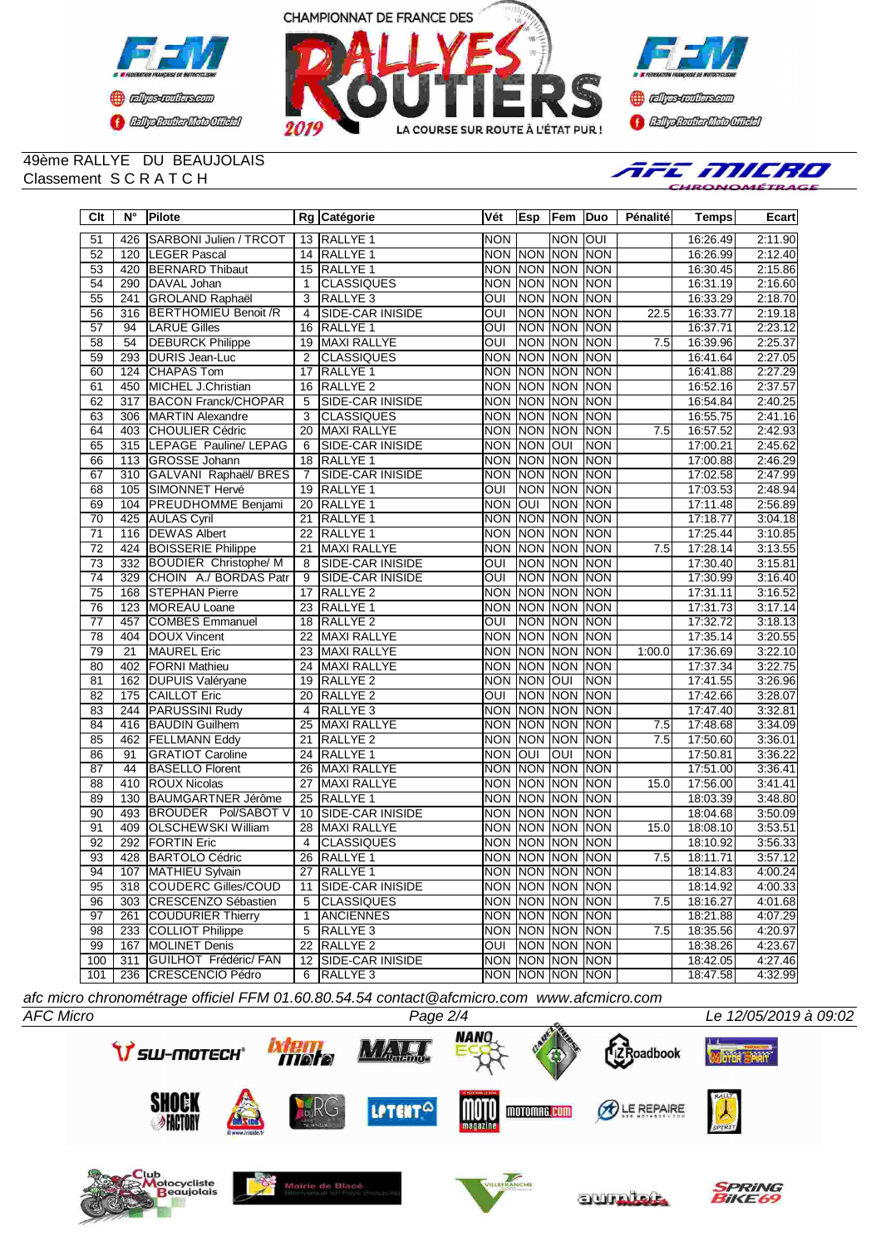



**Continue of the Continue of the Continue of the Continue of the Continue of the Continue of the Continue of the Continue of the Continue of the Continue of the Continue of the Continue of the Continue of the Continue of t Complementation** 

#### 49ème RALLYE DU BEAUJOLAIS Classement S C R A T C H



| $\overline{C}$ It | $N^{\circ}$      | <b>Pilote</b>                |                         | Rg Catégorie            | Vét                     | Esp        | Fem                       | Duo             | Pénalité         | <b>Temps</b> | Ecart   |
|-------------------|------------------|------------------------------|-------------------------|-------------------------|-------------------------|------------|---------------------------|-----------------|------------------|--------------|---------|
| 51                | 426              | SARBONI Julien / TRCOT       |                         | 13 RALLYE 1             | <b>NON</b>              |            | <b>NON</b>                | <b>OUI</b>      |                  | 16:26.49     | 2:11.90 |
| 52                | 120              | <b>LEGER Pascal</b>          | 14                      | <b>RALLYE 1</b>         | <b>NON</b>              | <b>NON</b> | <b>NON</b>                | <b>NON</b>      |                  | 16:26.99     | 2:12.40 |
| 53                | 420              | <b>BERNARD Thibaut</b>       | 15                      | RALLYE <sub>1</sub>     | <b>NON</b>              | <b>NON</b> | <b>NON</b>                | <b>NON</b>      |                  | 16:30.45     | 2:15.86 |
| 54                | 290              | DAVAL Johan                  | 1                       | <b>CLASSIQUES</b>       | <b>NON</b>              | <b>NON</b> | <b>NON</b>                | <b>NON</b>      |                  | 16:31.19     | 2:16.60 |
| 55                | 241              | <b>GROLAND Raphaël</b>       | 3                       | <b>RALLYE 3</b>         | $\overline{OUI}$        | <b>NON</b> | <b>NON</b>                | <b>NON</b>      |                  | 16:33.29     | 2:18.70 |
| 56                | 316              | <b>BERTHOMIEU Benoit /R</b>  | $\overline{\mathbf{4}}$ | SIDE-CAR INISIDE        | OUI                     | <b>NON</b> | <b>NON</b>                | <b>NON</b>      | 22.5             | 16:33.77     | 2:19.18 |
| 57                | 94               | <b>LARUE Gilles</b>          | 16                      | <b>RALLYE 1</b>         | $\overline{O}$          | <b>NON</b> | <b>NON</b>                | <b>NON</b>      |                  | 16:37.71     | 2:23.12 |
| 58                | $\overline{54}$  | <b>DEBURCK Philippe</b>      | 19                      | MAXI RALLYE             | $\overline{O}$          | <b>NON</b> | <b>NON</b>                | <b>NON</b>      | 7.5              | 16:39.96     | 2:25.37 |
| 59                | 293              | <b>DURIS Jean-Luc</b>        | $\overline{2}$          | <b>CLASSIQUES</b>       | <b>NON</b>              | <b>NON</b> | <b>NON</b>                | <b>NON</b>      |                  | 16:41.64     | 2:27.05 |
| 60                | 124              | <b>CHAPAS Tom</b>            | 17                      | RALLYE <sub>1</sub>     | <b>NON</b>              | <b>NON</b> | <b>NON</b>                | <b>NON</b>      |                  | 16:41.88     | 2:27.29 |
| 61                | 450              | MICHEL J.Christian           | 16                      | RALLYE <sub>2</sub>     | <b>NON</b>              | <b>NON</b> | <b>NON</b>                | <b>NON</b>      |                  | 16:52.16     | 2:37.57 |
| 62                | $\overline{317}$ | <b>BACON Franck/CHOPAR</b>   | 5                       | SIDE-CAR INISIDE        | <b>NON</b>              | <b>NON</b> | <b>NON</b>                | <b>NON</b>      |                  | 16:54.84     | 2:40.25 |
| 63                | 306              | <b>MARTIN Alexandre</b>      | 3                       | <b>CLASSIQUES</b>       | <b>NON</b>              | <b>NON</b> | <b>NON</b>                | <b>NON</b>      |                  | 16:55.75     | 2:41.16 |
| 64                | 403              | <b>CHOULIER Cédric</b>       | 20                      | <b>MAXI RALLYE</b>      | <b>NON</b>              | <b>NON</b> | <b>NON</b>                | <b>NON</b>      | 7.5              | 16:57.52     | 2:42.93 |
| 65                | 315              | LEPAGE Pauline/ LEPAG        | 6                       | SIDE-CAR INISIDE        | <b>NON</b>              | <b>NON</b> | <b>INO</b>                | <b>NON</b>      |                  | 17:00.21     | 2:45.62 |
| 66                | 113              | <b>GROSSE Johann</b>         | 18                      | RALLYE <sub>1</sub>     | <b>NON</b>              | <b>NON</b> | <b>NON</b>                | <b>NON</b>      |                  | 17:00.88     | 2:46.29 |
| 67                | 310              | GALVANI Raphaël/ BRES        | $\overline{7}$          | SIDE-CAR INISIDE        | <b>NON</b>              | NON        | <b>NON</b>                | <b>NON</b>      |                  | 17:02.58     | 2:47.99 |
| 68                | 105              | SIMONNET Hervé               | 19                      | RALLYE 1                | OUI                     | <b>NON</b> | <b>NON</b>                | <b>NON</b>      |                  | 17:03.53     | 2:48.94 |
| 69                | 104              | <b>PREUDHOMME Benjami</b>    | 20                      | RALLYE <sub>1</sub>     | <b>NON</b>              | loni       | <b>NON</b>                | <b>NON</b>      |                  | 17:11.48     | 2:56.89 |
| 70                | 425              | <b>AULAS Cyril</b>           | 21                      | RALLYE <sub>1</sub>     | <b>NON</b>              | <b>NON</b> | <b>NON</b>                | <b>NON</b>      |                  | 17:18.77     | 3:04.18 |
| $\overline{71}$   | 116              | <b>DEWAS Albert</b>          | 22                      | RALLYE <sub>1</sub>     | <b>NON</b>              | <b>NON</b> | <b>NON</b>                | <b>NON</b>      |                  | 17:25.44     | 3:10.85 |
| $\overline{72}$   | 424              | <b>BOISSERIE Philippe</b>    | 21                      | <b>MAXI RALLYE</b>      | <b>NON</b>              | <b>NON</b> | <b>NON</b>                | <b>NON</b>      | 7.5              | 17:28.14     | 3:13.55 |
| $\overline{73}$   | 332              | <b>BOUDIER Christophe/ M</b> | 8                       | <b>SIDE-CAR INISIDE</b> | $\overline{OUI}$        | <b>NON</b> | <b>NON</b>                | <b>NON</b>      |                  | 17:30.40     | 3:15.81 |
| $\overline{74}$   | 329              | CHOIN A./ BORDAS Patr        | $\overline{9}$          | <b>SIDE-CAR INISIDE</b> | $\overline{\text{OUI}}$ | <b>NON</b> | <b>NON</b>                | <b>NON</b>      |                  | 17:30.99     | 3:16.40 |
| $\overline{75}$   | 168              | <b>STEPHAN Pierre</b>        | 17                      | <b>RALLYE 2</b>         | <b>NON</b>              | <b>NON</b> | <b>NON</b>                | <b>NON</b>      |                  | 17:31.11     | 3:16.52 |
| $\overline{76}$   | $\overline{123}$ | <b>MOREAU Loane</b>          | 23                      | RALLYE 1                | <b>NON</b>              | <b>NON</b> | <b>NON</b>                | <b>NON</b>      |                  | 17:31.73     | 3:17.14 |
| $\overline{77}$   | 457              | <b>COMBES Emmanuel</b>       | 18                      | RALLYE <sub>2</sub>     | $\overline{\text{OUI}}$ | <b>NON</b> | <b>NON</b>                | <b>NON</b>      |                  | 17:32.72     | 3:18.13 |
| 78                | 404              | <b>DOUX Vincent</b>          | 22                      | <b>MAXI RALLYE</b>      | <b>NON</b>              | <b>NON</b> | <b>NON</b>                | <b>NON</b>      |                  | 17:35.14     | 3:20.55 |
| 79                | 21               | <b>MAUREL Eric</b>           | 23                      | <b>MAXI RALLYE</b>      | <b>NON</b>              | <b>NON</b> | <b>NON</b>                | <b>NON</b>      | 1:00.0           | 17:36.69     | 3:22.10 |
| 80                | 402              | <b>FORNI Mathieu</b>         | 24                      | <b>MAXI RALLYE</b>      | <b>NON</b>              | <b>NON</b> | <b>NON</b>                | <b>NON</b>      |                  | 17:37.34     | 3:22.75 |
| 81                | 162              | <b>DUPUIS Valéryane</b>      | 19                      | RALLYE <sub>2</sub>     | <b>NON</b>              | <b>NON</b> | OUI                       | <b>NON</b>      |                  | 17:41.55     | 3:26.96 |
| 82                | 175              | <b>CAILLOT Eric</b>          | 20                      | RALLYE <sub>2</sub>     | OUI                     | <b>NON</b> | <b>NON</b>                | <b>NON</b>      |                  | 17:42.66     | 3:28.07 |
| 83                | 244              | <b>PARUSSINI Rudy</b>        | $\overline{4}$          | RALLYE <sub>3</sub>     | <b>NON</b>              | <b>NON</b> | <b>NON</b>                | <b>NON</b>      |                  | 17:47.40     | 3:32.81 |
| 84                | 416              | <b>BAUDIN Guilhem</b>        | 25                      | <b>MAXI RALLYE</b>      | <b>NON</b>              | <b>NON</b> | <b>NON</b>                | <b>NON</b>      | 7.5              | 17:48.68     | 3:34.09 |
| 85                | 462              | <b>FELLMANN Eddy</b>         | $\overline{21}$         | <b>RALLYE 2</b>         | <b>NON</b>              | <b>NON</b> | <b>NON</b>                | <b>NON</b>      | $\overline{7.5}$ | 17:50.60     | 3:36.01 |
| 86                | 91               | <b>GRATIOT Caroline</b>      | 24                      | RALLYE 1                | <b>NON</b>              | loui       | Ī                         | NON             |                  | 17:50.81     | 3:36.22 |
| 87                | 44               | <b>BASELLO Florent</b>       | 26                      | <b>MAXI RALLYE</b>      | <b>NON</b>              | <b>NON</b> | <b>NON</b>                | <b>NON</b>      |                  | 17:51.00     | 3:36.41 |
| 88                | 410              | <b>ROUX Nicolas</b>          | 27                      | <b>MAXI RALLYE</b>      | <b>NON</b>              | <b>NON</b> | <b>NON</b>                | <b>NON</b>      | 15.0             | 17:56.00     | 3:41.41 |
| 89                | 130              | <b>BAUMGARTNER Jérôme</b>    | 25                      | RALLYE <sub>1</sub>     | <b>NON</b>              | <b>NON</b> | <b>NON</b>                | <b>NON</b>      |                  | 18:03.39     | 3:48.80 |
| 90                | 493              | BROUDER Pol/SABOT V          | 10                      | SIDE-CAR INISIDE        | <b>NON</b>              | <b>NON</b> | <b>NON</b>                | <b>NON</b>      |                  | 18:04.68     | 3:50.09 |
| 91                | 409              | <b>OLSCHEWSKI William</b>    | 28                      | <b>MAXI RALLYE</b>      | <b>NON</b>              | <b>NON</b> | <b>NON</b>                | <b>NON</b>      | 15.0             | 18:08.10     | 3:53.51 |
| $\overline{92}$   | 292              | <b>FORTIN Eric</b>           | 4                       | <b>CLASSIQUES</b>       | <b>NON</b>              | <b>NON</b> | <b>NON</b>                | <b>NON</b>      |                  | 18:10.92     | 3:56.33 |
| $\overline{93}$   | 428              | <b>BARTOLO Cédric</b>        | 26                      | RALLYE <sub>1</sub>     |                         |            | <b>NON NON NON</b>        | <b>NON</b>      | 7.5              | 18:11.71     | 3:57.12 |
| 94                |                  | 107 MATHIEU Sylvain          |                         | 27 RALLYE 1             |                         |            | Inon Inon Inon Inon       |                 |                  | 18:14.83     | 4:00.24 |
| 95                |                  | 318 COUDERC Gilles/COUD      | 11                      | <b>SIDE-CAR INISIDE</b> |                         |            |                           | NON NON NON NON |                  | 18:14.92     | 4:00.33 |
| 96                |                  | 303 CRESCENZO Sébastien      | 5                       | <b>CLASSIQUES</b>       |                         |            | NON NON NON NON           |                 | 7.5              | 18:16.27     | 4:01.68 |
| 97                | 261              | <b>COUDURIER Thierry</b>     | 1                       | <b>ANCIENNES</b>        |                         |            |                           | NON NON NON NON |                  | 18:21.88     | 4:07.29 |
| 98                |                  | 233 COLLIOT Philippe         | 5                       | RALLYE <sub>3</sub>     |                         |            |                           | NON NON NON NON | 7.5              | 18:35.56     | 4:20.97 |
| 99                |                  | 167 MOLINET Denis            |                         | 22 RALLYE 2             |                         |            | <b>OUI INON INON INON</b> |                 |                  | 18:38.26     | 4:23.67 |
| 100               | 311              | GUILHOT Frédéric/ FAN        |                         | 12 SIDE-CAR INISIDE     |                         |            |                           | NON NON NON NON |                  | 18:42.05     | 4:27.46 |
| 101               |                  | 236 CRESCENCIO Pédro         |                         | 6 RALLYE 3              |                         |            |                           | NON NON NON NON |                  | 18:47.58     | 4:32.99 |

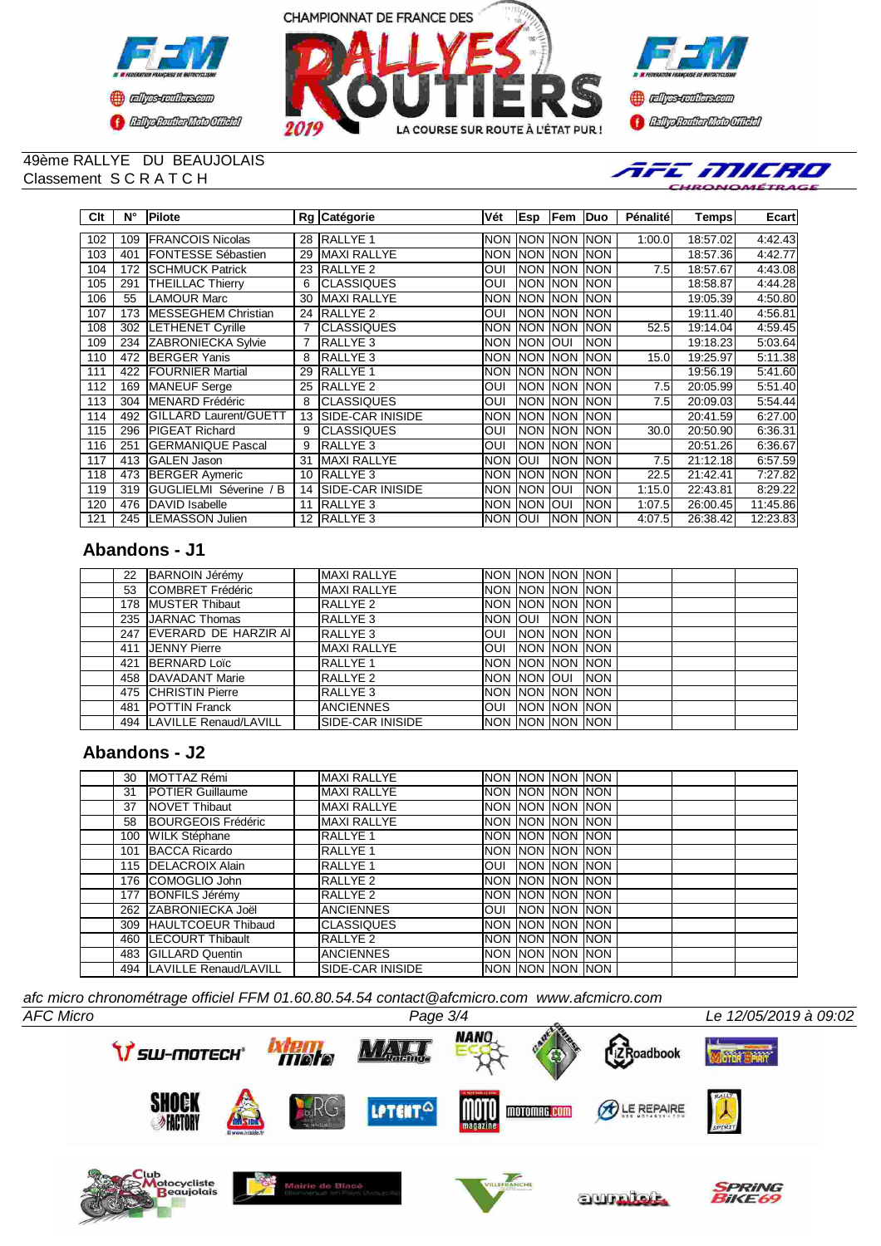





#### 49ème RALLYE DU BEAUJOLAIS Classement S C R A T C H



| Clt | N°  | Pilote                       |    | Rg Catégorie            | Vét        | <b>Esp</b>            | Fem         | Duo         | Pénalité | Temps    | Ecart                |
|-----|-----|------------------------------|----|-------------------------|------------|-----------------------|-------------|-------------|----------|----------|----------------------|
| 102 | 109 | <b>FRANCOIS Nicolas</b>      | 28 | <b>RALLYE 1</b>         | <b>NON</b> | <b>INON INON INON</b> |             |             | 1:00.0   | 18:57.02 | 4:42.43              |
| 103 | 401 | <b>FONTESSE Sébastien</b>    | 29 | <b>MAXI RALLYE</b>      | <b>NON</b> | <b>NON NON</b>        |             | <b>NON</b>  |          | 18:57.36 | 4:42.77              |
| 104 | 172 | <b>SCHMUCK Patrick</b>       | 23 | <b>RALLYE 2</b>         | OUI        | Inon Inon             |             | <b>NON</b>  | 7.5      | 18:57.67 | 4:43.08              |
| 105 | 291 | <b>THEILLAC Thierry</b>      | 6  | <b>CLASSIQUES</b>       | OUI        | Inon Inon             |             | <b>INON</b> |          | 18:58.87 | 4:44.28              |
| 106 | 55  | <b>LAMOUR Marc</b>           | 30 | <b>MAXI RALLYE</b>      | <b>NON</b> | <b>NON NON</b>        |             | <b>INON</b> |          | 19:05.39 | 4:50.80              |
| 107 | 173 | <b>MESSEGHEM Christian</b>   | 24 | RALLYE <sub>2</sub>     | <b>OUI</b> | <b>INON INON</b>      |             | <b>INON</b> |          | 19:11.40 | 4:56.81              |
| 108 | 302 | <b>LETHENET Cyrille</b>      |    | <b>CLASSIQUES</b>       | <b>NON</b> | <b>INON INON</b>      |             | <b>NON</b>  | 52.5     | 19:14.04 | 4:59.45              |
| 109 | 234 | <b>ZABRONIECKA Sylvie</b>    |    | RALLYE <sub>3</sub>     | <b>NON</b> | <b>INON</b>           | <b>OUI</b>  | <b>INON</b> |          | 19:18.23 | 5:03.64              |
| 110 | 472 | <b>BERGER Yanis</b>          | 8  | RALLYE <sub>3</sub>     |            | NON INON INON         |             | <b>INON</b> | 15.0     | 19:25.97 | 5:11.38              |
| 111 | 422 | <b>FOURNIER Martial</b>      | 29 | RALLYE <sub>1</sub>     | <b>NON</b> | <b>INON</b>           | <b>NON</b>  | <b>INON</b> |          | 19:56.19 | $\overline{5:}41.60$ |
| 112 | 169 | <b>MANEUF</b> Serge          | 25 | <b>RALLYE 2</b>         | OUI        | Inon Inon             |             | <b>INON</b> | 7.5      | 20:05.99 | 5:51.40              |
| 113 | 304 | MENARD Frédéric              | 8  | <b>CLASSIQUES</b>       | OUI        | Inon Inon             |             | <b>INON</b> | 7.5      | 20:09.03 | 5:54.44              |
| 114 | 492 | <b>GILLARD Laurent/GUETT</b> | 13 | <b>SIDE-CAR INISIDE</b> | <b>NON</b> | <b>INON NON</b>       |             | <b>INON</b> |          | 20:41.59 | 6:27.00              |
| 115 | 296 | <b>PIGEAT Richard</b>        | 9  | <b>CLASSIQUES</b>       | OUI        | Inon Inon             |             | <b>INON</b> | 30.0     | 20:50.90 | 6:36.31              |
| 116 | 251 | <b>GERMANIQUE Pascal</b>     | 9  | RALLYE <sub>3</sub>     | OUI        | <b>INON</b>           | <b>NON</b>  | <b>NON</b>  |          | 20:51.26 | 6:36.67              |
| 117 | 413 | <b>GALEN Jason</b>           | 31 | <b>MAXI RALLYE</b>      | <b>NON</b> | loui                  | <b>NON</b>  | <b>NON</b>  | 7.5      | 21:12.18 | 6:57.59              |
| 118 | 473 | <b>BERGER Aymeric</b>        | 10 | <b>RALLYE 3</b>         | <b>NON</b> | <b>INON</b>           | <b>NON</b>  | <b>NON</b>  | 22.5     | 21:42.41 | 7:27.82              |
| 119 | 319 | GUGLIELMI Séverine / B       | 14 | ISIDE-CAR INISIDE       | <b>NON</b> | <b>INON</b>           | <b>IOUI</b> | <b>NON</b>  | 1:15.0   | 22:43.81 | 8:29.22              |
| 120 | 476 | <b>IDAVID Isabelle</b>       | 11 | <b>RALLYE 3</b>         | <b>NON</b> | <b>INON</b>           | <b>OUI</b>  | <b>INON</b> | 1:07.5   | 26:00.45 | 11:45.86             |
| 121 |     | 245 LEMASSON Julien          | 12 | <b>RALLYE 3</b>         | NON JOUI   |                       | <b>NON</b>  | <b>NON</b>  | 4:07.5   | 26:38.42 | 12:23.83             |

## **Abandons - J1**

| 22 | <b>BARNOIN Jérémy</b>     | <b>MAXI RALLYE</b>      | NON NON NON NON            |             |  |  |
|----|---------------------------|-------------------------|----------------------------|-------------|--|--|
| 53 | <b>COMBRET Frédéric</b>   | <b>MAXI RALLYE</b>      | NON NON NON NON            |             |  |  |
|    | 178 MUSTER Thibaut        | RALLYE <sub>2</sub>     | <b>NON INON INON INON</b>  |             |  |  |
|    | 235 JARNAC Thomas         | RALLYE 3                | INON JOUL INON INON        |             |  |  |
|    | 247 EVERARD DE HARZIR AI  | <b>RALLYE 3</b>         | OUI NON NON NON            |             |  |  |
|    | 411 JENNY Pierre          | <b>MAXI RALLYE</b>      | <b>JOUI INON MON INON</b>  |             |  |  |
|    | 421 BERNARD Loïc          | RALLYE <sub>1</sub>     | NON NON NON NON            |             |  |  |
|    | 458 DAVADANT Marie        | RALLYE <sub>2</sub>     | INON INON IOUI             | <b>INON</b> |  |  |
|    | 475 CHRISTIN Pierre       | <b>RALLYE 3</b>         | <b>INON INON INON INON</b> |             |  |  |
|    | 481 POTTIN Franck         | <b>ANCIENNES</b>        | <b>OUI</b> INON INON INON  |             |  |  |
|    | 494 LAVILLE Renaud/LAVILL | <b>SIDE-CAR INISIDE</b> | NON NON NON NON            |             |  |  |

## **Abandons - J2**

| 30 | MOTTAZ Rémi                 | <b>MAXI RALLYE</b>      |  | INON INON INON INON        |                     |  |
|----|-----------------------------|-------------------------|--|----------------------------|---------------------|--|
| 31 | <b>IPOTIER Guillaume</b>    | <b>MAXI RALLYE</b>      |  |                            | Inon Inon Inon Inon |  |
| 37 | <b>NOVET Thibaut</b>        | <b>MAXI RALLYE</b>      |  |                            | INON INON INON INON |  |
| 58 | BOURGEOIS Frédéric          | <b>MAXI RALLYE</b>      |  | Inon Inon Inon Inon        |                     |  |
|    | 100 WILK Stéphane           | RALLYE <sub>1</sub>     |  | Inon Inon Inon Inon        |                     |  |
|    | 101 BACCA Ricardo           | RALLYE <sub>1</sub>     |  | Inon Inon Inon Inon        |                     |  |
|    | 115 <b>IDELACROIX</b> Alain | <b>RALLYE 1</b>         |  | Ioui Inon Inon Inon        |                     |  |
|    | 176 COMOGLIO John           | RALLYE <sub>2</sub>     |  | <b>INON INON INON INON</b> |                     |  |
|    | 177 BONFILS Jérémy          | RALLYE <sub>2</sub>     |  | Inon Inon Inon Inon        |                     |  |
|    | 262 ZABRONIECKA Joël        | <b>ANCIENNES</b>        |  |                            | OUI NON NON NON     |  |
|    | 309 HAULTCOEUR Thibaud      | <b>CLASSIQUES</b>       |  |                            | INON INON INON INON |  |
|    | 460 LECOURT Thibault        | RALLYE <sub>2</sub>     |  | Inon Inon Inon Inon        |                     |  |
|    | 483 GILLARD Quentin         | <b>ANCIENNES</b>        |  |                            | NON NON NON NON     |  |
|    | 494 LAVILLE Renaud/LAVILL   | <b>SIDE-CAR INISIDE</b> |  | NON NON NON NON            |                     |  |